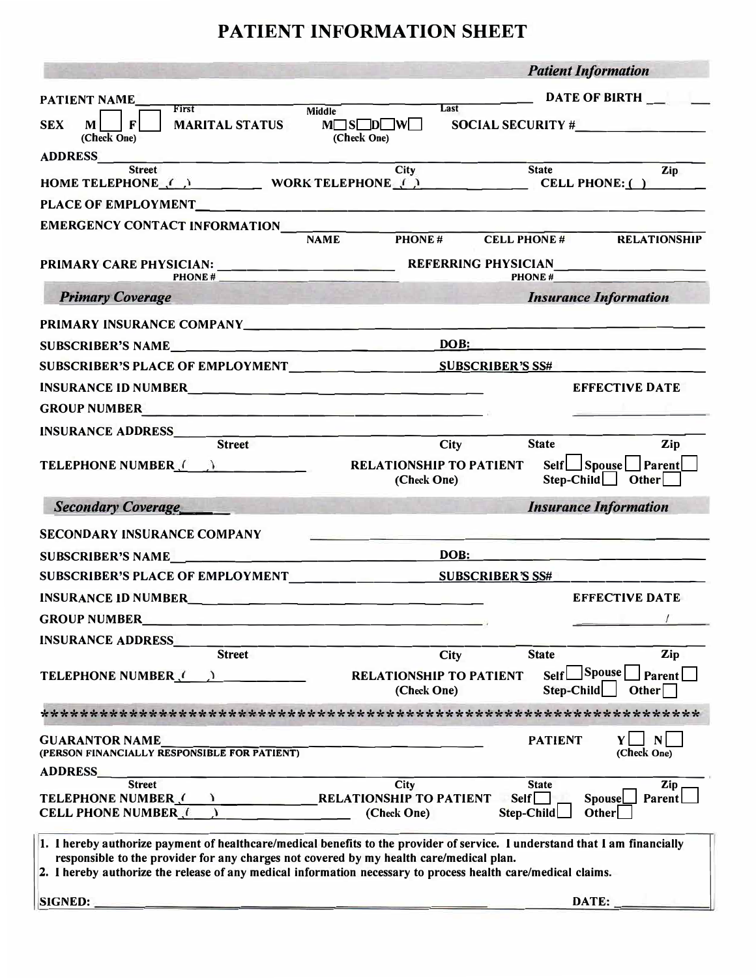# **PATIENT INFORMATION SHEET**

|                                                                                                                                                                                                                                                                                                                                         | <b>Patient Information</b>                                                                                                    |
|-----------------------------------------------------------------------------------------------------------------------------------------------------------------------------------------------------------------------------------------------------------------------------------------------------------------------------------------|-------------------------------------------------------------------------------------------------------------------------------|
| <b>PATIENT NAME</b>                                                                                                                                                                                                                                                                                                                     | <b>DATE OF BIRTH</b>                                                                                                          |
| First<br><b>Middle</b><br>$M$<br>$\mathsf{F}$<br><b>SEX</b><br><b>MARITAL STATUS</b><br>(Check One)<br>(Check One)                                                                                                                                                                                                                      | Last<br>$M \Box S \Box D \Box W \Box$<br>SOCIAL SECURITY #                                                                    |
| <b>ADDRESS</b><br><b>Street</b>                                                                                                                                                                                                                                                                                                         | <b>State</b><br>City<br>Zip                                                                                                   |
| HOME TELEPHONE ( ) WORK TELEPHONE ( )                                                                                                                                                                                                                                                                                                   | CELL PHONE:                                                                                                                   |
|                                                                                                                                                                                                                                                                                                                                         |                                                                                                                               |
| <b>EMERGENCY CONTACT INFORMATION</b>                                                                                                                                                                                                                                                                                                    |                                                                                                                               |
| <b>NAME</b>                                                                                                                                                                                                                                                                                                                             | PHONE#<br><b>CELL PHONE#</b><br><b>RELATIONSHIP</b>                                                                           |
| PRIMARY CARE PHYSICIAN:<br>PHONE#                                                                                                                                                                                                                                                                                                       | <b>EXECUTE:</b> REFERRING PHYSICIAN<br><b>PHONE#</b>                                                                          |
| <b>Primary Coverage</b>                                                                                                                                                                                                                                                                                                                 | <b>Insurance Information</b>                                                                                                  |
|                                                                                                                                                                                                                                                                                                                                         |                                                                                                                               |
| PRIMARY INSURANCE COMPANY PRIMARY PRIMARY INSURANCE                                                                                                                                                                                                                                                                                     |                                                                                                                               |
|                                                                                                                                                                                                                                                                                                                                         |                                                                                                                               |
|                                                                                                                                                                                                                                                                                                                                         |                                                                                                                               |
| INSURANCE ID NUMBER<br>The Second Contract of the Second Contract of the Second Contract of the Second Contract of the Second Contract of the Second Contract of the Second Contract of the Second Contract of the Second Contra                                                                                                        | <b>EFFECTIVE DATE</b>                                                                                                         |
|                                                                                                                                                                                                                                                                                                                                         |                                                                                                                               |
| INSURANCE ADDRESS<br>Street                                                                                                                                                                                                                                                                                                             |                                                                                                                               |
| TELEPHONE NUMBER ( )                                                                                                                                                                                                                                                                                                                    | <b>City</b><br><b>State</b><br>Zip<br>Self Spouse Parent<br><b>RELATIONSHIP TO PATIENT</b><br>Step-Child Other<br>(Check One) |
| <b>Secondary Coverage</b>                                                                                                                                                                                                                                                                                                               | <b>Insurance Information</b>                                                                                                  |
| <b>SECONDARY INSURANCE COMPANY</b>                                                                                                                                                                                                                                                                                                      |                                                                                                                               |
| SUBSCRIBER'S NAME                                                                                                                                                                                                                                                                                                                       | DOB:                                                                                                                          |
| SUBSCRIBER'S PLACE OF EMPLOYMENT _____________                                                                                                                                                                                                                                                                                          | <b>SUBSCRIBER'S SS#</b>                                                                                                       |
| <b>INSURANCE ID NUMBER</b><br>the contract of the contract of the contract of the contract of the contract of the contract of the contract of                                                                                                                                                                                           | <b>EFFECTIVE DATE</b>                                                                                                         |
| <b>GROUP NUMBER</b>                                                                                                                                                                                                                                                                                                                     |                                                                                                                               |
| <b>INSURANCE ADDRESS</b>                                                                                                                                                                                                                                                                                                                |                                                                                                                               |
| <b>Street</b>                                                                                                                                                                                                                                                                                                                           | <b>State</b><br>Zip<br><b>City</b>                                                                                            |
| <b>TELEPHONE NUMBER (</b>                                                                                                                                                                                                                                                                                                               | Self Spouse<br>Parent<br><b>RELATIONSHIP TO PATIENT</b><br>Step-Child<br>(Check One)<br><b>Other</b>                          |
|                                                                                                                                                                                                                                                                                                                                         |                                                                                                                               |
| <b>GUARANTOR NAME</b><br>(PERSON FINANCIALLY RESPONSIBLE FOR PATIENT)                                                                                                                                                                                                                                                                   | <b>PATIENT</b><br>N<br>(Check One)                                                                                            |
| <b>ADDRESS</b><br><b>Street</b>                                                                                                                                                                                                                                                                                                         | City<br><b>State</b><br>Zip                                                                                                   |
| <b>TELEPHONE NUMBER (</b><br><b>CELL PHONE NUMBER (</b><br><sup>1</sup>                                                                                                                                                                                                                                                                 | <b>RELATIONSHIP TO PATIENT</b><br>Self<br><b>Spouse</b><br>Parent<br>Step-Child<br><b>Other</b><br>(Check One)                |
| 1. I hereby authorize payment of healthcare/medical benefits to the provider of service. I understand that I am financially<br>responsible to the provider for any charges not covered by my health care/medical plan.<br>2. I hereby authorize the release of any medical information necessary to process health care/medical claims. |                                                                                                                               |
| <b>SIGNED:</b>                                                                                                                                                                                                                                                                                                                          | DATE:                                                                                                                         |
|                                                                                                                                                                                                                                                                                                                                         |                                                                                                                               |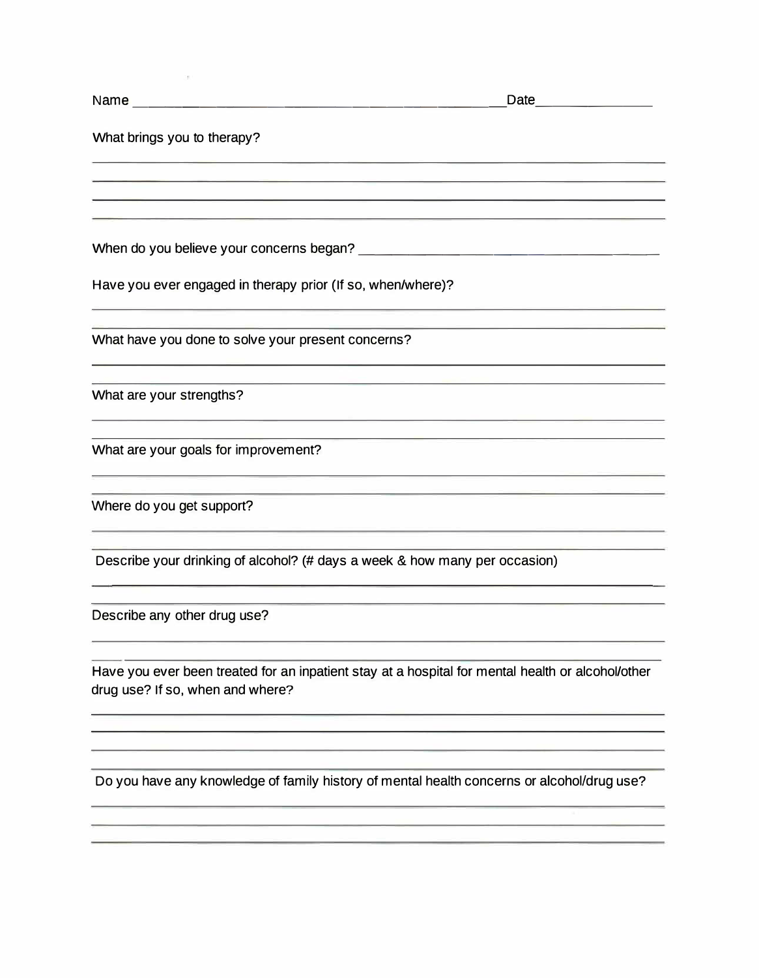| Name |  |
|------|--|
|      |  |

What brings you to therapy?

 $\bar{\mathcal{A}}$ 

When do you believe your concerns began? \_\_\_\_\_\_\_\_\_\_\_\_\_\_\_\_\_ \_

Have you ever engaged in therapy prior (If so, when/where)?

What have you done to solve your present concerns?

What are your strengths?

What are your goals for improvement?

Where do you get support?

Describe your drinking of alcohol? (# days a week & how many per occasion)

Describe any other drug use?

Have you ever been treated for an inpatient stay at a hospital for mental health or alcohol/other drug use? If so, when and where?

Do you have any knowledge of family history of mental health concerns or alcohol/drug use?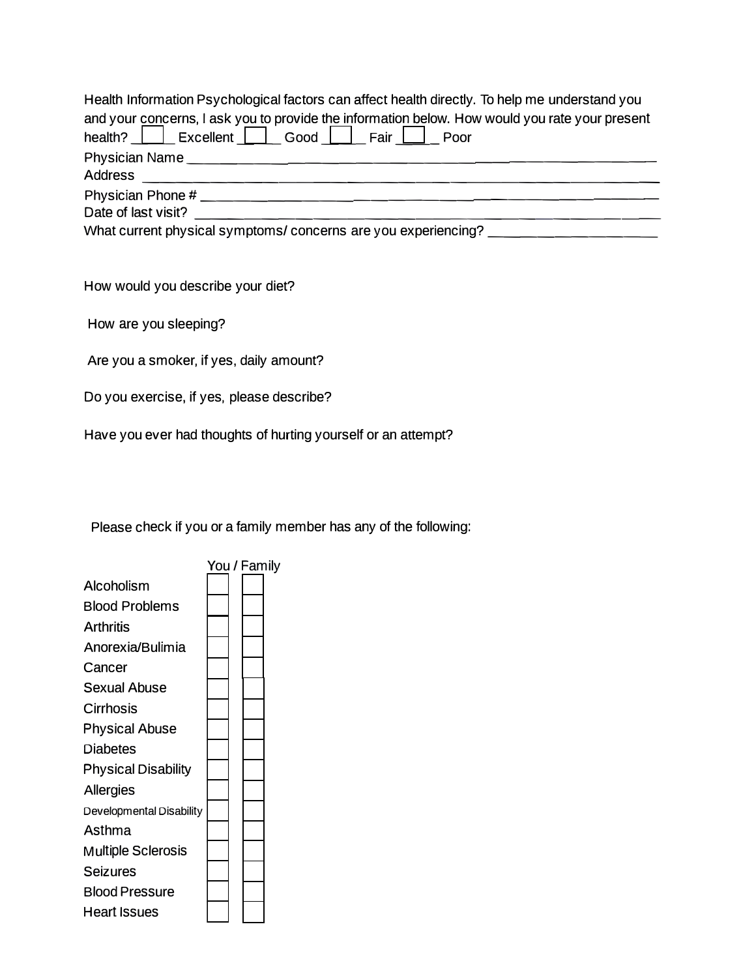| Health Information Psychological factors can affect health directly. To help me understand you                                           |
|------------------------------------------------------------------------------------------------------------------------------------------|
| and your concerns, I ask you to provide the information below. How would you rate your present<br>health?   Excellent   Good   Fair Poor |
|                                                                                                                                          |
| Address                                                                                                                                  |
| Physician Phone # ________                                                                                                               |
| Date of last visit?                                                                                                                      |
| What current physical symptoms/ concerns are you experiencing? _________                                                                 |

How would you describe your diet?

How are you sleeping?

Are you a smoker, if yes, daily amount?

Do you exercise, if yes, please describe?

Have you ever had thoughts of hurting yourself or an attempt?

Please check if you or a family member has any of the following:

|                            | You / Family |
|----------------------------|--------------|
| Alcoholism                 |              |
| <b>Blood Problems</b>      |              |
| <b>Arthritis</b>           |              |
| Anorexia/Bulimia           |              |
| Cancer                     |              |
| <b>Sexual Abuse</b>        |              |
| Cirrhosis                  |              |
| <b>Physical Abuse</b>      |              |
| Diabetes                   |              |
| <b>Physical Disability</b> |              |
| <b>Allergies</b>           |              |
| Developmental Disability   |              |
| Asthma                     |              |
| <b>Multiple Sclerosis</b>  |              |
| Seizures                   |              |
| <b>Blood Pressure</b>      |              |
| <b>Heart Issues</b>        |              |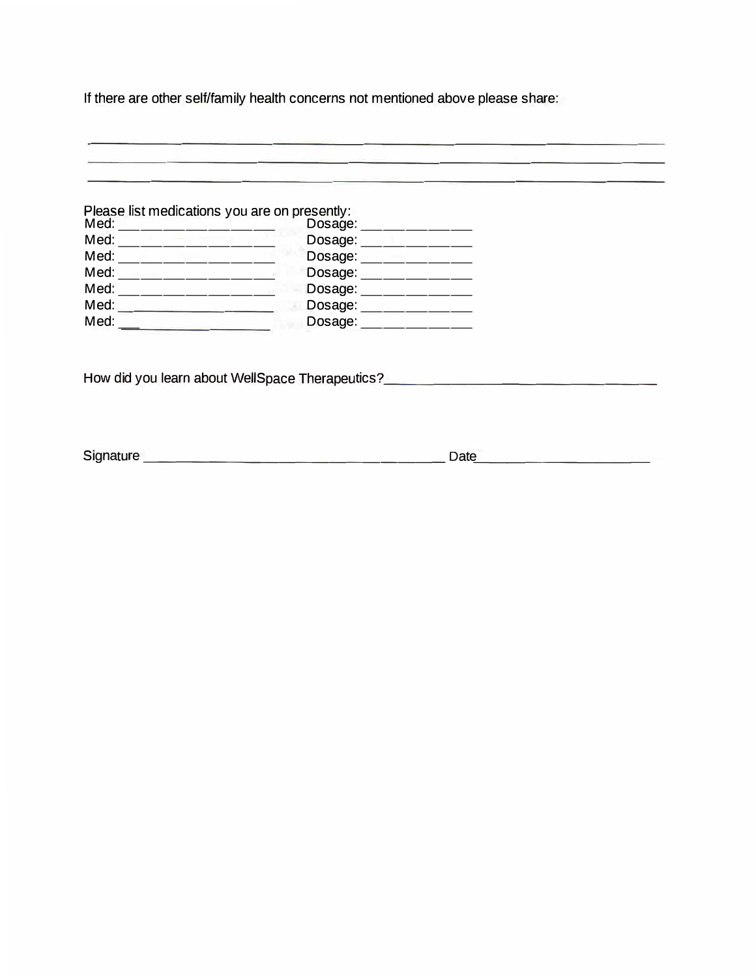If there are other self/family health concerns not mentioned above please share:

| Med: | Please list medications you are on presently:<br>Dosage: |
|------|----------------------------------------------------------|
| Med: | Dosage:                                                  |
| Med: | Dosage:                                                  |
| Med: | Dosage:                                                  |
| Med: | Dosage:                                                  |
| Med: | Dosage:                                                  |
| Med: | Dosage:                                                  |

How did you learn about WellSpace Therapeutics?\_\_\_\_\_\_\_\_\_\_\_\_\_\_\_\_\_\_\_\_\_\_\_\_\_\_\_\_\_\_\_\_\_

Signature \_\_\_\_\_\_\_\_\_\_\_\_\_\_\_\_\_\_ Date\_\_\_ . \_\_\_\_\_\_\_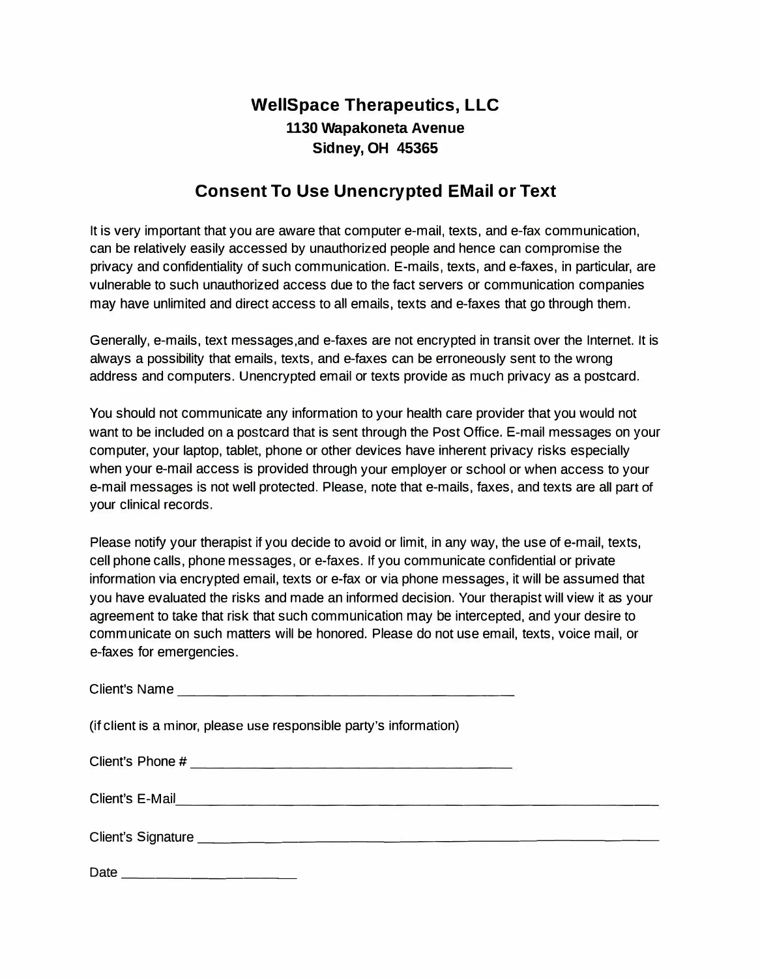## **WellSpace Therapeutics, LLC 1130 Wapakoneta Avenue Sidney, OH 45365**

## **Consent To Use Unencrypted EMail or Text**

It is very important that you are aware that computer e-mail, texts, and e-fax communication, can be relatively easily accessed by unauthorized people and hence can compromise the privacy and confidentiality of such communication. E-mails, texts, and e-faxes, in particular, are vulnerable to such unauthorized access due to the fact servers or communication companies may have unlimited and direct access to all emails, texts and e-faxes that go through them.

Generally, e-mails, text messages.and e-faxes are not encrypted in transit over the Internet. It is always a possibility that emails, texts, and e-faxes can be erroneously sent to the wrong address and computers. Unencrypted email or texts provide as much privacy as a postcard.

You should not communicate any information to your health care provider that you would not want to be included on a postcard that is sent through the Post Office. E-mail messages on your computer, your laptop, tablet, phone or other devices have inherent privacy risks especially when your e-mail access is provided through your employer or school or when access to your e-mail messages is not well protected. Please, note that e-mails, faxes, and texts are all part of your clinical records.

Please notify your therapist if you decide to avoid or limit, in any way, the use of e-mail, texts, cell phone calls, phone messages, or e-faxes. If you communicate confidential or private information via encrypted email, texts or e-fax or via phone messages, it will be assumed that you have evaluated the risks and made an informed decision. Your therapist will view it as your agreement to take that risk that such communication may be intercepted, and your desire to communicate on such matters will be honored. Please do not use email, texts, voice mail, or e-faxes for emergencies.

Client's Name

( if client is a minor, please use responsible party's information)

| Client's Phone #   |  |  |
|--------------------|--|--|
| Client's E-Mail    |  |  |
| Client's Signature |  |  |

Date \_\_\_\_\_\_\_\_\_ \_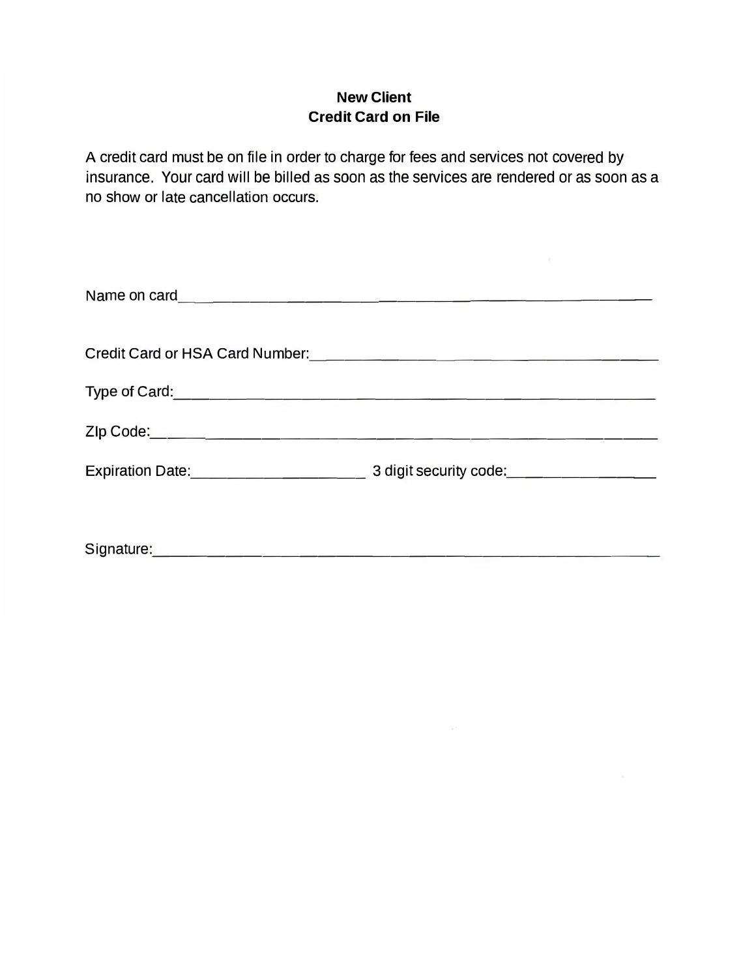### **New Client Credit Card on File**

A credit card must be on file in order to charge for fees and services not covered by insurance. Your card will be billed as soon as the services are rendered or as soon as a no show or late cancellation occurs.

| Credit Card or HSA Card Number:<br>Credit Card or HSA Card Number:       |                        |
|--------------------------------------------------------------------------|------------------------|
| Type of Card:<br><u> 1989 - Johann Stein, marwolaethau a bhann an t-</u> |                        |
|                                                                          |                        |
| Expiration Date: 2004                                                    | 3 digit security code: |
|                                                                          |                        |

Signature: \_\_\_\_\_\_\_\_\_\_\_\_\_\_\_\_\_\_\_\_\_\_\_\_\_\_\_ \_